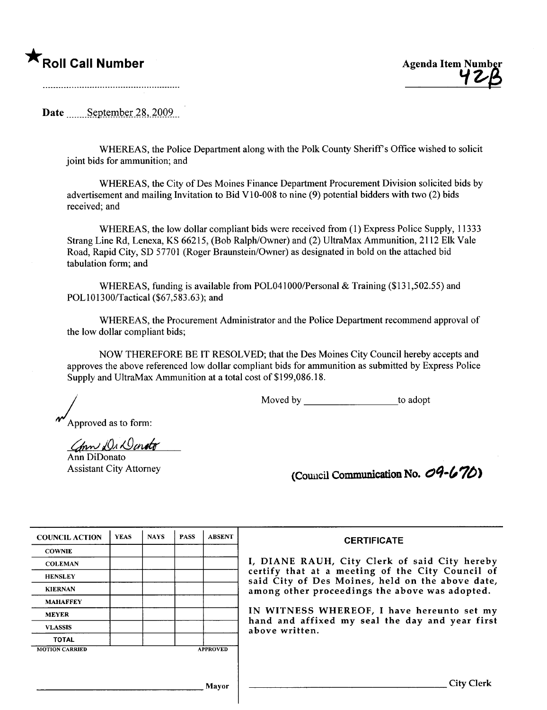## \* Roll Call Number Agenda Item Number

Date September  $28,2009$ 

WHEREAS, the Police Department along with the Polk County Sheriff's Office wished to solicit joint bids for ammunition; and

WHREAS, the City of Des Moines Finance Department Procurement Division solicited bids by advertisement and mailing Invitation to Bid VIO-008 to nine (9) potential bidders with two (2) bids received; and

WHREAS, the low dollar compliant bids were received from (1) Express Police Supply, 11333 Strang Line Rd, Lenexa, KS 66215, (Bob Ralph/Owner) and (2) UltraMax Ammunition, 2112 Elk Vale Road, Rapid City, SD 57701 (Roger Braunstein/Owner) as designated in bold on the attached bid tabulation form; and

WHEREAS, funding is available from POL041000/Personal & Training (\$131,502.55) and POL101300/Tactical (\$67,583.63); and

WHREAS, the Procurement Administrator and the Police Department recommend approval of the low dollar compliant bids;

NOW THEREFORE BE IT RESOLVED; that the Des Moines City Council hereby accepts and approves the above referenced low dollar compliant bids for ammunition as submitted by Express Police Supply and UltraMax Ammunition at a total cost of \$199,086.18.

Moved by to adopt

Approved as to form:

Conn Dr Donato

Ann DiDonato Assistant City Attorney

| (Council Communication No. 09-670) |  |
|------------------------------------|--|
|------------------------------------|--|

| <b>COUNCIL ACTION</b> | <b>YEAS</b> | <b>NAYS</b> | <b>PASS</b> | <b>ABSENT</b>   | <b>CERTIFICATE</b>                                                                                   |
|-----------------------|-------------|-------------|-------------|-----------------|------------------------------------------------------------------------------------------------------|
| <b>COWNIE</b>         |             |             |             |                 |                                                                                                      |
| <b>COLEMAN</b>        |             |             |             |                 | I, DIANE RAUH, City Clerk of said City hereby                                                        |
| <b>HENSLEY</b>        |             |             |             |                 | certify that at a meeting of the City Council of<br>said City of Des Moines, held on the above date, |
| <b>KIERNAN</b>        |             |             |             |                 | among other proceedings the above was adopted.                                                       |
| <b>MAHAFFEY</b>       |             |             |             |                 |                                                                                                      |
| <b>MEYER</b>          |             |             |             |                 | IN WITNESS WHEREOF, I have hereunto set my                                                           |
| <b>VLASSIS</b>        |             |             |             |                 | hand and affixed my seal the day and year first<br>above written.                                    |
| <b>TOTAL</b>          |             |             |             |                 |                                                                                                      |
| <b>MOTION CARRIED</b> |             |             |             | <b>APPROVED</b> |                                                                                                      |
|                       |             |             |             |                 |                                                                                                      |
|                       |             |             |             |                 |                                                                                                      |
|                       |             |             |             | Mavor           | City                                                                                                 |